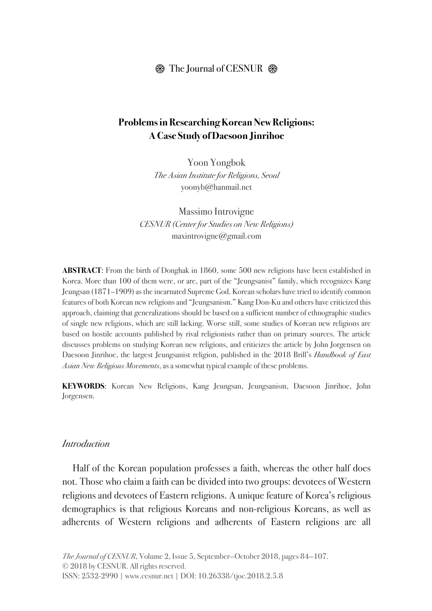## $\circledR$  The Journal of CESNUR  $\circledR$

## **Problems in Researching Korean New Religions: A Case Study of Daesoon Jinrihoe**

Yoon Yongbok *The Asian Institute for Religions, Seoul* yoonyb@hanmail.net

Massimo Introvigne *CESNUR (Center for Studies on New Religions)*  maxintrovigne@gmail.com

**ABSTRACT:** From the birth of Donghak in 1860, some 500 new religions have been established in Korea. More than 100 of them were, or are, part of the "Jeungsanist" family, which recognizes Kang Jeungsan (1871–1909) as the incarnated Supreme God. Korean scholars have tried to identify common features of both Korean new religions and "Jeungsanism." Kang Don-Ku and others have criticized this approach, claiming that generalizations should be based on a sufficient number of ethnographic studies of single new religions, which are still lacking. Worse still, some studies of Korean new religions are based on hostile accounts published by rival religionists rather than on primary sources. The article discusses problems on studying Korean new religions, and criticizes the article by John Jorgensen on Daesoon Jinrihoe, the largest Jeungsanist religion, published in the 2018 Brill's *Handbook of East Asian New Religious Movements*, as a somewhat typical example of these problems.

**KEYWORDS**: Korean New Religions, Kang Jeungsan, Jeungsanism, Daesoon Jinrihoe, John Jorgensen.

### *Introduction*

Half of the Korean population professes a faith, whereas the other half does not. Those who claim a faith can be divided into two groups: devotees of Western religions and devotees of Eastern religions. A unique feature of Korea's religious demographics is that religious Koreans and non-religious Koreans, as well as adherents of Western religions and adherents of Eastern religions are all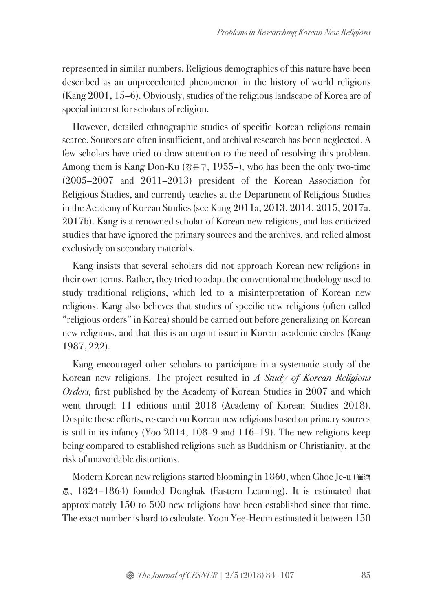represented in similar numbers. Religious demographics of this nature have been described as an unprecedented phenomenon in the history of world religions (Kang 2001, 15–6). Obviously, studies of the religious landscape of Korea are of special interest for scholars of religion.

However, detailed ethnographic studies of specific Korean religions remain scarce. Sources are often insufficient, and archival research has been neglected. A few scholars have tried to draw attention to the need of resolving this problem. Among them is Kang Don-Ku (강돈구, 1955–), who has been the only two-time (2005–2007 and 2011–2013) president of the Korean Association for Religious Studies, and currently teaches at the Department of Religious Studies in the Academy of Korean Studies (see Kang 2011a, 2013, 2014, 2015, 2017a, 2017b). Kang is a renowned scholar of Korean new religions, and has criticized studies that have ignored the primary sources and the archives, and relied almost exclusively on secondary materials.

Kang insists that several scholars did not approach Korean new religions in their own terms. Rather, they tried to adapt the conventional methodology used to study traditional religions, which led to a misinterpretation of Korean new religions. Kang also believes that studies of specific new religions (often called "religious orders" in Korea) should be carried out before generalizing on Korean new religions, and that this is an urgent issue in Korean academic circles (Kang 1987, 222).

Kang encouraged other scholars to participate in a systematic study of the Korean new religions. The project resulted in *A Study of Korean Religious Orders,* first published by the Academy of Korean Studies in 2007 and which went through 11 editions until 2018 (Academy of Korean Studies 2018). Despite these efforts, research on Korean new religions based on primary sources is still in its infancy (Yoo 2014, 108–9 and 116–19). The new religions keep being compared to established religions such as Buddhism or Christianity, at the risk of unavoidable distortions.

Modern Korean new religions started blooming in 1860, when Choe Je-u (崔濟 愚, 1824–1864) founded Donghak (Eastern Learning). It is estimated that approximately 150 to 500 new religions have been established since that time. The exact number is hard to calculate. Yoon Yee-Heum estimated it between 150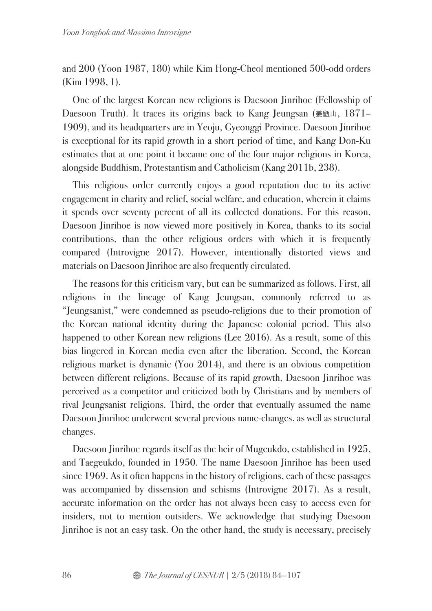and 200 (Yoon 1987, 180) while Kim Hong-Cheol mentioned 500-odd orders (Kim 1998, 1).

One of the largest Korean new religions is Daesoon Jinrihoe (Fellowship of Daesoon Truth). It traces its origins back to Kang Jeungsan (姜甑山, 1871– 1909), and its headquarters are in Yeoju, Gyeonggi Province. Daesoon Jinrihoe is exceptional for its rapid growth in a short period of time, and Kang Don-Ku estimates that at one point it became one of the four major religions in Korea, alongside Buddhism, Protestantism and Catholicism (Kang 2011b, 238).

This religious order currently enjoys a good reputation due to its active engagement in charity and relief, social welfare, and education, wherein it claims it spends over seventy percent of all its collected donations. For this reason, Daesoon Jinrihoe is now viewed more positively in Korea, thanks to its social contributions, than the other religious orders with which it is frequently compared (Introvigne 2017). However, intentionally distorted views and materials on Daesoon Jinrihoe are also frequently circulated.

The reasons for this criticism vary, but can be summarized as follows. First, all religions in the lineage of Kang Jeungsan, commonly referred to as "Jeungsanist," were condemned as pseudo-religions due to their promotion of the Korean national identity during the Japanese colonial period. This also happened to other Korean new religions (Lee 2016). As a result, some of this bias lingered in Korean media even after the liberation. Second, the Korean religious market is dynamic (Yoo 2014), and there is an obvious competition between different religions. Because of its rapid growth, Daesoon Jinrihoe was perceived as a competitor and criticized both by Christians and by members of rival Jeungsanist religions. Third, the order that eventually assumed the name Daesoon Jinrihoe underwent several previous name-changes, as well as structural changes.

Daesoon Jinrihoe regards itself as the heir of Mugeukdo, established in 1925, and Taegeukdo, founded in 1950. The name Daesoon Jinrihoe has been used since 1969. As it often happens in the history of religions, each of these passages was accompanied by dissension and schisms (Introvigne 2017). As a result, accurate information on the order has not always been easy to access even for insiders, not to mention outsiders. We acknowledge that studying Daesoon Jinrihoe is not an easy task. On the other hand, the study is necessary, precisely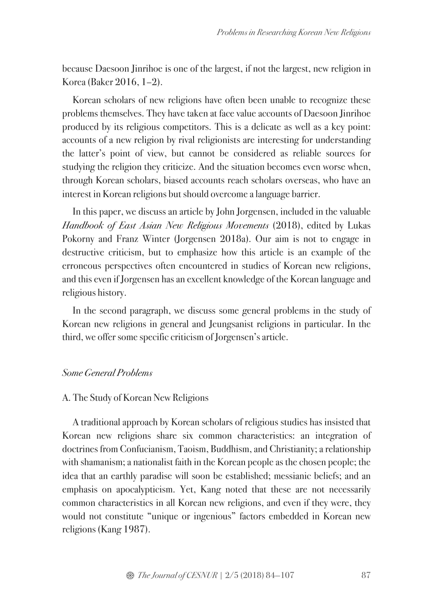because Daesoon Jinrihoe is one of the largest, if not the largest, new religion in Korea (Baker 2016, 1–2).

Korean scholars of new religions have often been unable to recognize these problems themselves. They have taken at face value accounts of Daesoon Jinrihoe produced by its religious competitors. This is a delicate as well as a key point: accounts of a new religion by rival religionists are interesting for understanding the latter's point of view, but cannot be considered as reliable sources for studying the religion they criticize. And the situation becomes even worse when, through Korean scholars, biased accounts reach scholars overseas, who have an interest in Korean religions but should overcome a language barrier.

In this paper, we discuss an article by John Jorgensen, included in the valuable *Handbook of East Asian New Religious Movements* (2018), edited by Lukas Pokorny and Franz Winter (Jorgensen 2018a). Our aim is not to engage in destructive criticism, but to emphasize how this article is an example of the erroneous perspectives often encountered in studies of Korean new religions, and this even if Jorgensen has an excellent knowledge of the Korean language and religious history.

In the second paragraph, we discuss some general problems in the study of Korean new religions in general and Jeungsanist religions in particular. In the third, we offer some specific criticism of Jorgensen's article.

### *Some General Problems*

#### A. The Study of Korean New Religions

A traditional approach by Korean scholars of religious studies has insisted that Korean new religions share six common characteristics: an integration of doctrines from Confucianism, Taoism, Buddhism, and Christianity; a relationship with shamanism; a nationalist faith in the Korean people as the chosen people; the idea that an earthly paradise will soon be established; messianic beliefs; and an emphasis on apocalypticism. Yet, Kang noted that these are not necessarily common characteristics in all Korean new religions, and even if they were, they would not constitute "unique or ingenious" factors embedded in Korean new religions (Kang 1987).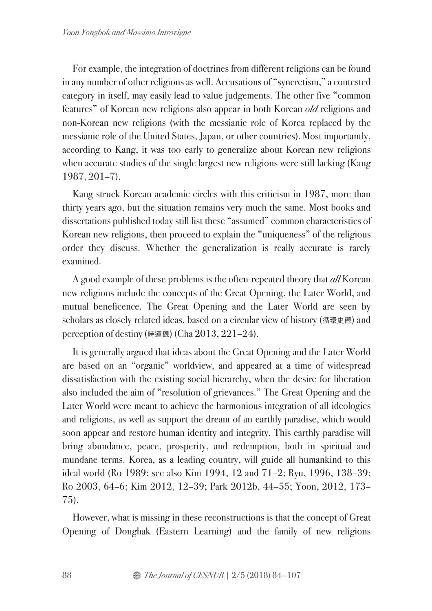For example, the integration of doctrines from different religions can be found in any number of other religions as well. Accusations of "syncretism," a contested category in itself, may easily lead to value judgements. The other five "common features" of Korean new religions also appear in both Korean *old* religions and non-Korean new religions (with the messianic role of Korea replaced by the messianic role of the United States, Japan, or other countries). Most importantly, according to Kang, it was too early to generalize about Korean new religions when accurate studies of the single largest new religions were still lacking (Kang 1987, 201–7).

Kang struck Korean academic circles with this criticism in 1987, more than thirty years ago, but the situation remains very much the same. Most books and dissertations published today still list these "assumed" common characteristics of Korean new religions, then proceed to explain the "uniqueness" of the religious order they discuss. Whether the generalization is really accurate is rarely examined.

A good example of these problems is the often-repeated theory that *all* Korean new religions include the concepts of the Great Opening, the Later World, and mutual beneficence. The Great Opening and the Later World are seen by scholars as closely related ideas, based on a circular view of history (循環史觀) and perception of destiny (時運觀) (Cha 2013, 221–24).

It is generally argued that ideas about the Great Opening and the Later World are based on an "organic" worldview, and appeared at a time of widespread dissatisfaction with the existing social hierarchy, when the desire for liberation also included the aim of "resolution of grievances." The Great Opening and the Later World were meant to achieve the harmonious integration of all ideologies and religions, as well as support the dream of an earthly paradise, which would soon appear and restore human identity and integrity. This earthly paradise will bring abundance, peace, prosperity, and redemption, both in spiritual and mundane terms. Korea, as a leading country, will guide all humankind to this ideal world (Ro 1989; see also Kim 1994, 12 and 71–2; Ryu, 1996, 138–39; Ro 2003, 64–6; Kim 2012, 12–39; Park 2012b, 44–55; Yoon, 2012, 173– 75).

However, what is missing in these reconstructions is that the concept of Great Opening of Donghak (Eastern Learning) and the family of new religions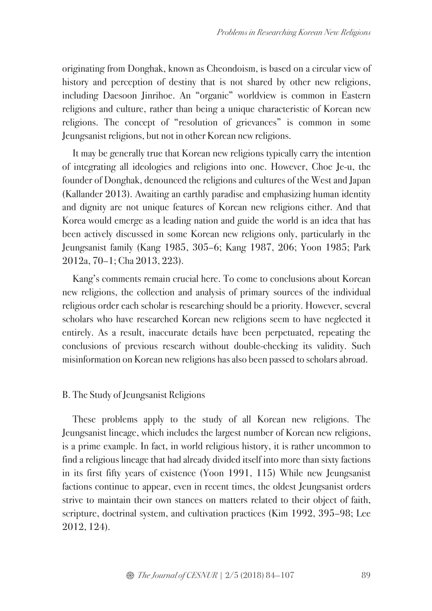originating from Donghak, known as Cheondoism, is based on a circular view of history and perception of destiny that is not shared by other new religions, including Daesoon Jinrihoe. An "organic" worldview is common in Eastern religions and culture, rather than being a unique characteristic of Korean new religions. The concept of "resolution of grievances" is common in some Jeungsanist religions, but not in other Korean new religions.

It may be generally true that Korean new religions typically carry the intention of integrating all ideologies and religions into one. However, Choe Je-u, the founder of Donghak, denounced the religions and cultures of the West and Japan (Kallander 2013). Awaiting an earthly paradise and emphasizing human identity and dignity are not unique features of Korean new religions either. And that Korea would emerge as a leading nation and guide the world is an idea that has been actively discussed in some Korean new religions only, particularly in the Jeungsanist family (Kang 1985, 305–6; Kang 1987, 206; Yoon 1985; Park 2012a, 70–1; Cha 2013, 223).

Kang's comments remain crucial here. To come to conclusions about Korean new religions, the collection and analysis of primary sources of the individual religious order each scholar is researching should be a priority. However, several scholars who have researched Korean new religions seem to have neglected it entirely. As a result, inaccurate details have been perpetuated, repeating the conclusions of previous research without double-checking its validity. Such misinformation on Korean new religions has also been passed to scholars abroad.

## B. The Study of Jeungsanist Religions

These problems apply to the study of all Korean new religions. The Jeungsanist lineage, which includes the largest number of Korean new religions, is a prime example. In fact, in world religious history, it is rather uncommon to find a religious lineage that had already divided itself into more than sixty factions in its first fifty years of existence (Yoon 1991, 115) While new Jeungsanist factions continue to appear, even in recent times, the oldest Jeungsanist orders strive to maintain their own stances on matters related to their object of faith, scripture, doctrinal system, and cultivation practices (Kim 1992, 395–98; Lee 2012, 124).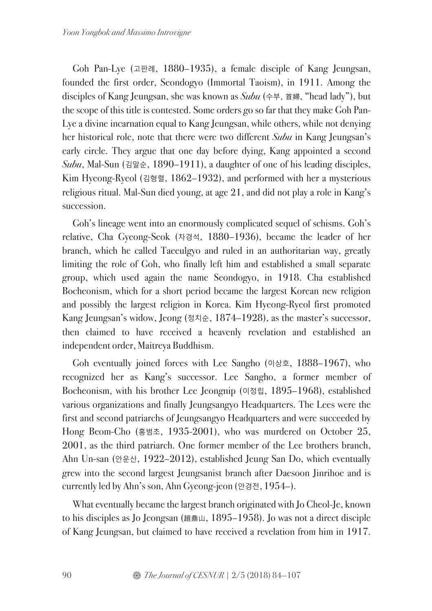Goh Pan-Lye (고판례, 1880–1935), a female disciple of Kang Jeungsan, founded the first order, Seondogyo (Immortal Taoism), in 1911. Among the disciples of Kang Jeungsan, she was known as *Subu* (수부, 首婦, "head lady"), but the scope of this title is contested. Some orders go so far that they make Goh Pan-Lye a divine incarnation equal to Kang Jeungsan, while others, while not denying her historical role, note that there were two different *Subu* in Kang Jeungsan's early circle. They argue that one day before dying, Kang appointed a second *Subu*, Mal-Sun (김말순, 1890–1911), a daughter of one of his leading disciples, Kim Hyeong-Ryeol (김형렬, 1862–1932), and performed with her a mysterious religious ritual. Mal-Sun died young, at age 21, and did not play a role in Kang's succession.

Goh's lineage went into an enormously complicated sequel of schisms. Goh's relative, Cha Gyeong-Seok (차경석, 1880–1936), became the leader of her branch, which he called Taeeulgyo and ruled in an authoritarian way, greatly limiting the role of Goh, who finally left him and established a small separate group, which used again the name Seondogyo, in 1918. Cha established Bocheonism, which for a short period became the largest Korean new religion and possibly the largest religion in Korea. Kim Hyeong-Ryeol first promoted Kang Jeungsan's widow, Jeong (정치순, 1874–1928), as the master's successor, then claimed to have received a heavenly revelation and established an independent order, Maitreya Buddhism.

Goh eventually joined forces with Lee Sangho (이상호, 1888–1967), who recognized her as Kang's successor. Lee Sangho, a former member of Bocheonism, with his brother Lee Jeongnip (이정립, 1895–1968), established various organizations and finally Jeungsangyo Headquarters. The Lees were the first and second patriarchs of Jeungsangyo Headquarters and were succeeded by Hong Beom-Cho (홍범초, 1935-2001), who was murdered on October 25, 2001, as the third patriarch. One former member of the Lee brothers branch, Ahn Un-san (안운산, 1922–2012), established Jeung San Do, which eventually grew into the second largest Jeungsanist branch after Daesoon Jinrihoe and is currently led by Ahn's son, Ahn Gyeong-jeon (안경전, 1954–).

What eventually became the largest branch originated with Jo Cheol-Je, known to his disciples as Jo Jeongsan (趙鼎山, 1895–1958). Jo was not a direct disciple of Kang Jeungsan, but claimed to have received a revelation from him in 1917.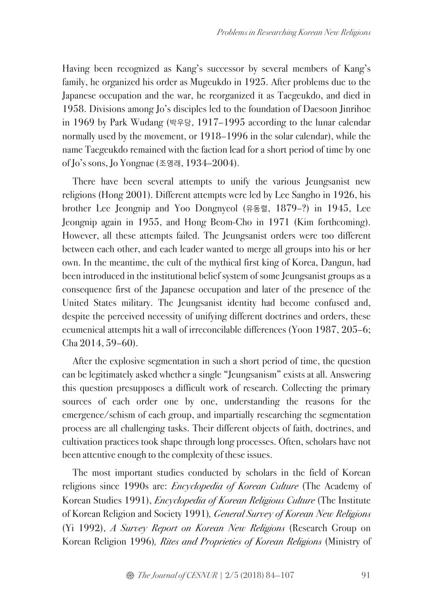Having been recognized as Kang's successor by several members of Kang's family, he organized his order as Mugeukdo in 1925. After problems due to the Japanese occupation and the war, he reorganized it as Taegeukdo, and died in 1958. Divisions among Jo's disciples led to the foundation of Daesoon Jinrihoe in 1969 by Park Wudang (박우당, 1917–1995 according to the lunar calendar normally used by the movement, or 1918–1996 in the solar calendar), while the name Taegeukdo remained with the faction lead for a short period of time by one of Jo's sons, Jo Yongnae (조영래, 1934–2004).

There have been several attempts to unify the various Jeungsanist new religions (Hong 2001). Different attempts were led by Lee Sangho in 1926, his brother Lee Jeongnip and Yoo Dongnyeol (유동렬, 1879–?) in 1945, Lee Jeongnip again in 1955, and Hong Beom-Cho in 1971 (Kim forthcoming). However, all these attempts failed. The Jeungsanist orders were too different between each other, and each leader wanted to merge all groups into his or her own. In the meantime, the cult of the mythical first king of Korea, Dangun, had been introduced in the institutional belief system of some Jeungsanist groups as a consequence first of the Japanese occupation and later of the presence of the United States military. The Jeungsanist identity had become confused and, despite the perceived necessity of unifying different doctrines and orders, these ecumenical attempts hit a wall of irreconcilable differences (Yoon 1987, 205–6; Cha 2014, 59–60).

After the explosive segmentation in such a short period of time, the question can be legitimately asked whether a single "Jeungsanism" exists at all. Answering this question presupposes a difficult work of research. Collecting the primary sources of each order one by one, understanding the reasons for the emergence/schism of each group, and impartially researching the segmentation process are all challenging tasks. Their different objects of faith, doctrines, and cultivation practices took shape through long processes. Often, scholars have not been attentive enough to the complexity of these issues.

The most important studies conducted by scholars in the field of Korean religions since 1990s are: *Encyclopedia of Korean Culture* (The Academy of Korean Studies 1991), *Encyclopedia of Korean Religious Culture* (The Institute of Korean Religion and Society 1991)*, General Survey of Korean New Religions* (Yi 1992), *A Survey Report on Korean New Religions* (Research Group on Korean Religion 1996)*, Rites and Proprieties of Korean Religions* (Ministry of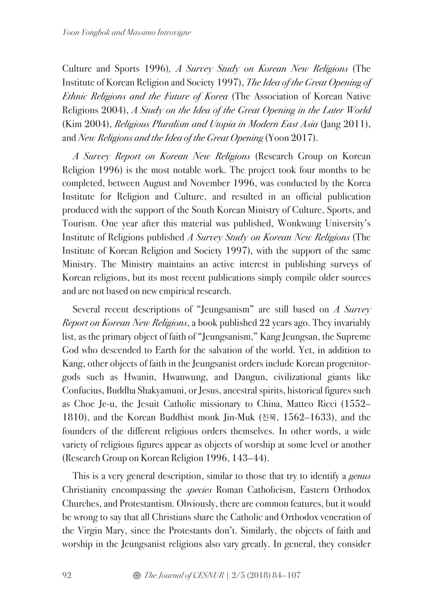Culture and Sports 1996)*, A Survey Study on Korean New Religions* (The Institute of Korean Religion and Society 1997), *The Idea of the Great Opening of Ethnic Religions and the Future of Korea* (The Association of Korean Native Religions 2004), *A Study on the Idea of the Great Opening in the Later World* (Kim 2004), *Religious Pluralism and Utopia in Modern East Asia* (Jang 2011), and *New Religions and the Idea of the Great Opening* (Yoon 2017).

*A Survey Report on Korean New Religions* (Research Group on Korean Religion 1996) is the most notable work. The project took four months to be completed, between August and November 1996, was conducted by the Korea Institute for Religion and Culture, and resulted in an official publication produced with the support of the South Korean Ministry of Culture, Sports, and Tourism. One year after this material was published, Wonkwang University's Institute of Religions published *A Survey Study on Korean New Religions* (The Institute of Korean Religion and Society 1997), with the support of the same Ministry. The Ministry maintains an active interest in publishing surveys of Korean religions, but its most recent publications simply compile older sources and are not based on new empirical research.

Several recent descriptions of "Jeungsanism" are still based on *A Survey Report on Korean New Religions*, a book published 22 years ago. They invariably list, as the primary object of faith of "Jeungsanism," Kang Jeungsan, the Supreme God who descended to Earth for the salvation of the world. Yet, in addition to Kang, other objects of faith in the Jeungsanist orders include Korean progenitorgods such as Hwanin, Hwanwung, and Dangun, civilizational giants like Confucius, Buddha Shakyamuni, or Jesus, ancestral spirits, historical figures such as Choe Je-u, the Jesuit Catholic missionary to China, Matteo Ricci (1552– 1810), and the Korean Buddhist monk Jin-Muk (진묵, 1562–1633), and the founders of the different religious orders themselves. In other words, a wide variety of religious figures appear as objects of worship at some level or another (Research Group on Korean Religion 1996, 143–44).

This is a very general description, similar to those that try to identify a *genus*  Christianity encompassing the *species* Roman Catholicism, Eastern Orthodox Churches, and Protestantism. Obviously, there are common features, but it would be wrong to say that all Christians share the Catholic and Orthodox veneration of the Virgin Mary, since the Protestants don't. Similarly, the objects of faith and worship in the Jeungsanist religions also vary greatly. In general, they consider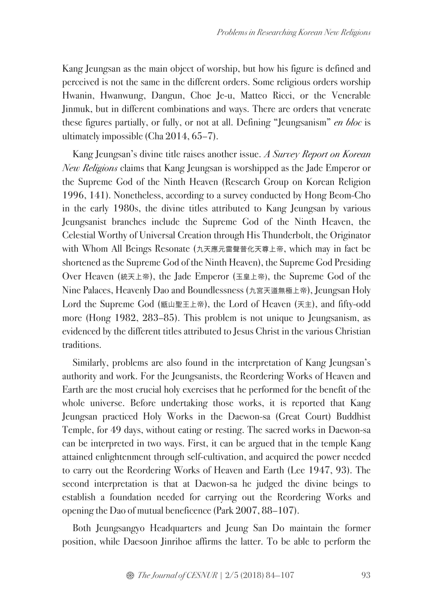Kang Jeungsan as the main object of worship, but how his figure is defined and perceived is not the same in the different orders. Some religious orders worship Hwanin, Hwanwung, Dangun, Choe Je-u, Matteo Ricci, or the Venerable Jinmuk, but in different combinations and ways. There are orders that venerate these figures partially, or fully, or not at all. Defining "Jeungsanism" *en bloc* is ultimately impossible (Cha 2014, 65–7).

Kang Jeungsan's divine title raises another issue. *A Survey Report on Korean New Religions* claims that Kang Jeungsan is worshipped as the Jade Emperor or the Supreme God of the Ninth Heaven (Research Group on Korean Religion 1996, 141). Nonetheless, according to a survey conducted by Hong Beom-Cho in the early 1980s, the divine titles attributed to Kang Jeungsan by various Jeungsanist branches include the Supreme God of the Ninth Heaven, the Celestial Worthy of Universal Creation through His Thunderbolt, the Originator with Whom All Beings Resonate (九天應元雷聲普化天尊上帝, which may in fact be shortened as the Supreme God of the Ninth Heaven), the Supreme God Presiding Over Heaven (統天上帝), the Jade Emperor (玉皇上帝), the Supreme God of the Nine Palaces, Heavenly Dao and Boundlessness (九宮天道無極上帝), Jeungsan Holy Lord the Supreme God (甑山聖王上帝), the Lord of Heaven (天主), and fifty-odd more (Hong 1982, 283–85). This problem is not unique to Jeungsanism, as evidenced by the different titles attributed to Jesus Christ in the various Christian traditions.

Similarly, problems are also found in the interpretation of Kang Jeungsan's authority and work. For the Jeungsanists, the Reordering Works of Heaven and Earth are the most crucial holy exercises that he performed for the benefit of the whole universe. Before undertaking those works, it is reported that Kang Jeungsan practiced Holy Works in the Daewon-sa (Great Court) Buddhist Temple, for 49 days, without eating or resting. The sacred works in Daewon-sa can be interpreted in two ways. First, it can be argued that in the temple Kang attained enlightenment through self-cultivation, and acquired the power needed to carry out the Reordering Works of Heaven and Earth (Lee 1947, 93). The second interpretation is that at Daewon-sa he judged the divine beings to establish a foundation needed for carrying out the Reordering Works and opening the Dao of mutual beneficence (Park 2007, 88–107).

Both Jeungsangyo Headquarters and Jeung San Do maintain the former position, while Daesoon Jinrihoe affirms the latter. To be able to perform the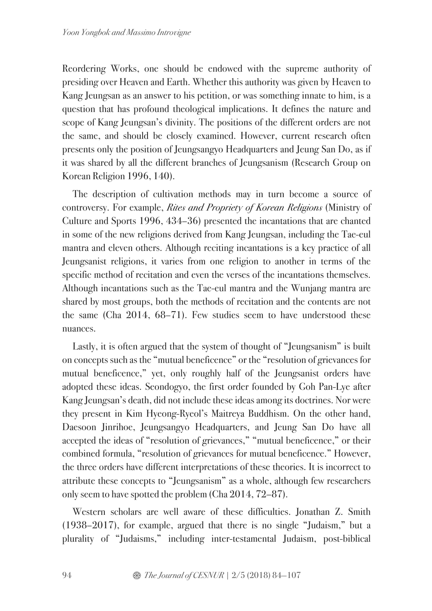Reordering Works, one should be endowed with the supreme authority of presiding over Heaven and Earth. Whether this authority was given by Heaven to Kang Jeungsan as an answer to his petition, or was something innate to him, is a question that has profound theological implications. It defines the nature and scope of Kang Jeungsan's divinity. The positions of the different orders are not the same, and should be closely examined. However, current research often presents only the position of Jeungsangyo Headquarters and Jeung San Do, as if it was shared by all the different branches of Jeungsanism (Research Group on Korean Religion 1996, 140).

The description of cultivation methods may in turn become a source of controversy. For example, *Rites and Propriety of Korean Religions* (Ministry of Culture and Sports 1996, 434–36) presented the incantations that are chanted in some of the new religions derived from Kang Jeungsan, including the Tae-eul mantra and eleven others. Although reciting incantations is a key practice of all Jeungsanist religions, it varies from one religion to another in terms of the specific method of recitation and even the verses of the incantations themselves. Although incantations such as the Tae-eul mantra and the Wunjang mantra are shared by most groups, both the methods of recitation and the contents are not the same (Cha 2014, 68–71). Few studies seem to have understood these nuances.

Lastly, it is often argued that the system of thought of "Jeungsanism" is built on concepts such as the "mutual beneficence" or the "resolution of grievances for mutual beneficence," yet, only roughly half of the Jeungsanist orders have adopted these ideas. Seondogyo, the first order founded by Goh Pan-Lye after Kang Jeungsan's death, did not include these ideas among its doctrines. Nor were they present in Kim Hyeong-Ryeol's Maitreya Buddhism. On the other hand, Daesoon Jinrihoe, Jeungsangyo Headquarters, and Jeung San Do have all accepted the ideas of "resolution of grievances," "mutual beneficence," or their combined formula, "resolution of grievances for mutual beneficence." However, the three orders have different interpretations of these theories. It is incorrect to attribute these concepts to "Jeungsanism" as a whole, although few researchers only seem to have spotted the problem (Cha 2014, 72–87).

Western scholars are well aware of these difficulties. Jonathan Z. Smith (1938–2017), for example, argued that there is no single "Judaism," but a plurality of "Judaisms," including inter-testamental Judaism, post-biblical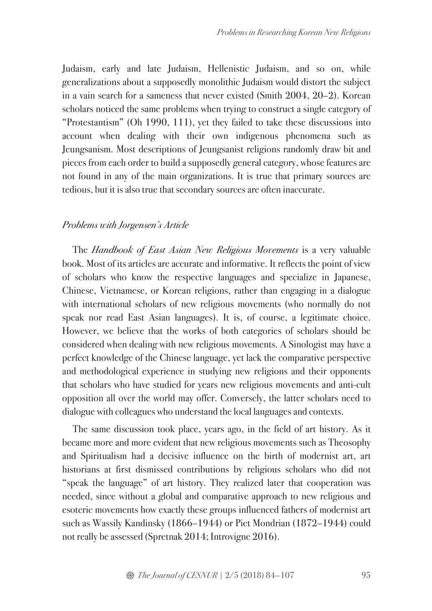Judaism, early and late Judaism, Hellenistic Judaism, and so on, while generalizations about a supposedly monolithic Judaism would distort the subject in a vain search for a sameness that never existed (Smith 2004, 20–2). Korean scholars noticed the same problems when trying to construct a single category of "Protestantism" (Oh 1990, 111), yet they failed to take these discussions into account when dealing with their own indigenous phenomena such as Jeungsanism. Most descriptions of Jeungsanist religions randomly draw bit and pieces from each order to build a supposedly general category, whose features are not found in any of the main organizations. It is true that primary sources are tedious, but it is also true that secondary sources are often inaccurate.

## *Problems with Jorgensen's Article*

The *Handbook of East Asian New Religious Movements* is a very valuable book. Most of its articles are accurate and informative. It reflects the point of view of scholars who know the respective languages and specialize in Japanese, Chinese, Vietnamese, or Korean religions, rather than engaging in a dialogue with international scholars of new religious movements (who normally do not speak nor read East Asian languages). It is, of course, a legitimate choice. However, we believe that the works of both categories of scholars should be considered when dealing with new religious movements. A Sinologist may have a perfect knowledge of the Chinese language, yet lack the comparative perspective and methodological experience in studying new religions and their opponents that scholars who have studied for years new religious movements and anti-cult opposition all over the world may offer. Conversely, the latter scholars need to dialogue with colleagues who understand the local languages and contexts.

The same discussion took place, years ago, in the field of art history. As it became more and more evident that new religious movements such as Theosophy and Spiritualism had a decisive influence on the birth of modernist art, art historians at first dismissed contributions by religious scholars who did not "speak the language" of art history. They realized later that cooperation was needed, since without a global and comparative approach to new religious and esoteric movements how exactly these groups influenced fathers of modernist art such as Wassily Kandinsky (1866–1944) or Piet Mondrian (1872–1944) could not really be assessed (Spretnak 2014; Introvigne 2016).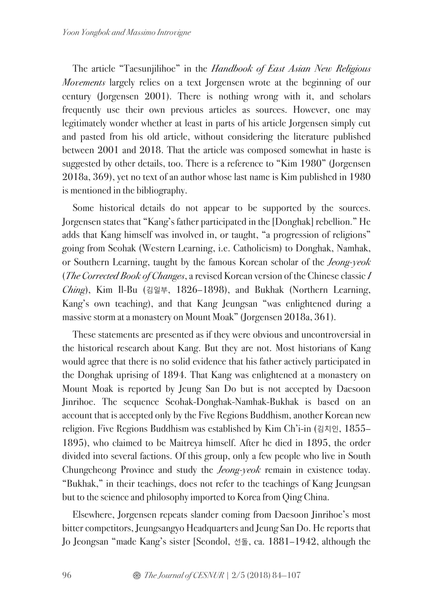The article "Taesunjilihoe" in the *Handbook of East Asian New Religious Movements* largely relies on a text Jorgensen wrote at the beginning of our century (Jorgensen 2001). There is nothing wrong with it, and scholars frequently use their own previous articles as sources. However, one may legitimately wonder whether at least in parts of his article Jorgensen simply cut and pasted from his old article, without considering the literature published between 2001 and 2018. That the article was composed somewhat in haste is suggested by other details, too. There is a reference to "Kim 1980" (Jorgensen 2018a, 369), yet no text of an author whose last name is Kim published in 1980 is mentioned in the bibliography.

Some historical details do not appear to be supported by the sources. Jorgensen states that "Kang's father participated in the [Donghak] rebellion." He adds that Kang himself was involved in, or taught, "a progression of religions" going from Seohak (Western Learning, i.e. Catholicism) to Donghak, Namhak, or Southern Learning, taught by the famous Korean scholar of the *Jeong-yeok*  (*The Corrected Book of Changes*, a revised Korean version of the Chinese classic *I Ching*), Kim Il-Bu (김일부, 1826–1898), and Bukhak (Northern Learning, Kang's own teaching), and that Kang Jeungsan "was enlightened during a massive storm at a monastery on Mount Moak" (Jorgensen 2018a, 361).

These statements are presented as if they were obvious and uncontroversial in the historical research about Kang. But they are not. Most historians of Kang would agree that there is no solid evidence that his father actively participated in the Donghak uprising of 1894. That Kang was enlightened at a monastery on Mount Moak is reported by Jeung San Do but is not accepted by Daesoon Jinrihoe. The sequence Seohak-Donghak-Namhak-Bukhak is based on an account that is accepted only by the Five Regions Buddhism, another Korean new religion. Five Regions Buddhism was established by Kim Ch'i-in (김치인, 1855– 1895), who claimed to be Maitreya himself. After he died in 1895, the order divided into several factions. Of this group, only a few people who live in South Chungcheong Province and study the *Jeong-yeok* remain in existence today. "Bukhak," in their teachings, does not refer to the teachings of Kang Jeungsan but to the science and philosophy imported to Korea from Qing China.

Elsewhere, Jorgensen repeats slander coming from Daesoon Jinrihoe's most bitter competitors, Jeungsangyo Headquarters and Jeung San Do. He reports that Jo Jeongsan "made Kang's sister [Seondol, 선돌, ca. 1881–1942, although the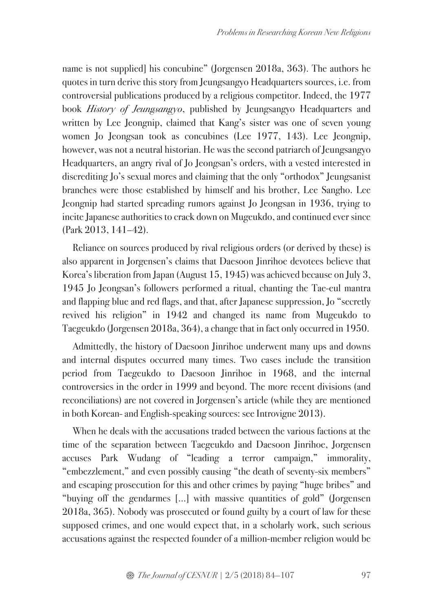name is not supplied] his concubine" (Jorgensen 2018a, 363). The authors he quotes in turn derive this story from Jeungsangyo Headquarters sources, i.e. from controversial publications produced by a religious competitor. Indeed, the 1977 book *History of Jeungsangyo*, published by Jeungsangyo Headquarters and written by Lee Jeongnip, claimed that Kang's sister was one of seven young women Jo Jeongsan took as concubines (Lee 1977, 143). Lee Jeongnip, however, was not a neutral historian. He was the second patriarch of Jeungsangyo Headquarters, an angry rival of Jo Jeongsan's orders, with a vested interested in discrediting Jo's sexual mores and claiming that the only "orthodox" Jeungsanist branches were those established by himself and his brother, Lee Sangho. Lee Jeongnip had started spreading rumors against Jo Jeongsan in 1936, trying to incite Japanese authorities to crack down on Mugeukdo, and continued ever since (Park 2013, 141–42).

Reliance on sources produced by rival religious orders (or derived by these) is also apparent in Jorgensen's claims that Daesoon Jinrihoe devotees believe that Korea's liberation from Japan (August 15, 1945) was achieved because on July 3, 1945 Jo Jeongsan's followers performed a ritual, chanting the Tae-eul mantra and flapping blue and red flags, and that, after Japanese suppression, Jo "secretly revived his religion" in 1942 and changed its name from Mugeukdo to Taegeukdo (Jorgensen 2018a, 364), a change that in fact only occurred in 1950.

Admittedly, the history of Daesoon Jinrihoe underwent many ups and downs and internal disputes occurred many times. Two cases include the transition period from Taegeukdo to Daesoon Jinrihoe in 1968, and the internal controversies in the order in 1999 and beyond. The more recent divisions (and reconciliations) are not covered in Jorgensen's article (while they are mentioned in both Korean- and English-speaking sources: see Introvigne 2013).

When he deals with the accusations traded between the various factions at the time of the separation between Taegeukdo and Daesoon Jinrihoe, Jorgensen accuses Park Wudang of "leading a terror campaign," immorality, "embezzlement," and even possibly causing "the death of seventy-six members" and escaping prosecution for this and other crimes by paying "huge bribes" and "buying off the gendarmes […] with massive quantities of gold" (Jorgensen 2018a, 365). Nobody was prosecuted or found guilty by a court of law for these supposed crimes, and one would expect that, in a scholarly work, such serious accusations against the respected founder of a million-member religion would be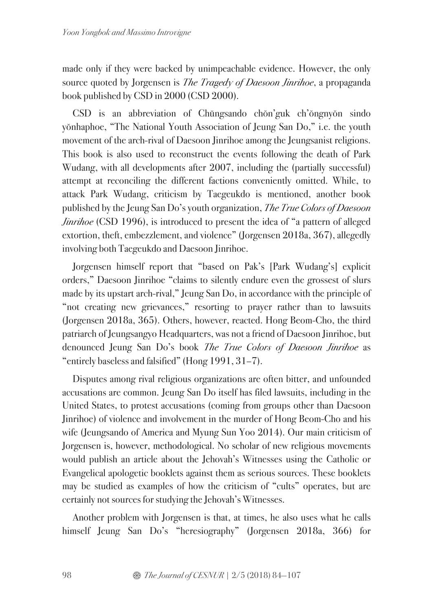made only if they were backed by unimpeachable evidence. However, the only source quoted by Jorgensen is *The Tragedy of Daesoon Jinrihoe*, a propaganda book published by CSD in 2000 (CSD 2000).

CSD is an abbreviation of Chŭngsando chŏn'guk ch'ŏngnyŏn sindo yŏnhaphoe, "The National Youth Association of Jeung San Do," i.e. the youth movement of the arch-rival of Daesoon Jinrihoe among the Jeungsanist religions. This book is also used to reconstruct the events following the death of Park Wudang, with all developments after 2007, including the (partially successful) attempt at reconciling the different factions conveniently omitted. While, to attack Park Wudang, criticism by Taegeukdo is mentioned, another book published by the Jeung San Do's youth organization, *The True Colors of Daesoon Jinrihoe* (CSD 1996), is introduced to present the idea of "a pattern of alleged extortion, theft, embezzlement, and violence" (Jorgensen 2018a, 367), allegedly involving both Taegeukdo and Daesoon Jinrihoe.

Jorgensen himself report that "based on Pak's [Park Wudang's] explicit orders," Daesoon Jinrihoe "claims to silently endure even the grossest of slurs made by its upstart arch-rival," Jeung San Do, in accordance with the principle of "not creating new grievances," resorting to prayer rather than to lawsuits (Jorgensen 2018a, 365). Others, however, reacted. Hong Beom-Cho, the third patriarch of Jeungsangyo Headquarters, was not a friend of Daesoon Jinrihoe, but denounced Jeung San Do's book *The True Colors of Daesoon Jinrihoe* as "entirely baselessand falsified" (Hong 1991, 31–7).

Disputes among rival religious organizations are often bitter, and unfounded accusations are common. Jeung San Do itself has filed lawsuits, including in the United States, to protest accusations (coming from groups other than Daesoon Jinrihoe) of violence and involvement in the murder of Hong Beom-Cho and his wife (Jeungsando of America and Myung Sun Yoo 2014). Our main criticism of Jorgensen is, however, methodological. No scholar of new religious movements would publish an article about the Jehovah's Witnesses using the Catholic or Evangelical apologetic booklets against them as serious sources. These booklets may be studied as examples of how the criticism of "cults" operates, but are certainly not sources for studying the Jehovah's Witnesses.

Another problem with Jorgensen is that, at times, he also uses what he calls himself Jeung San Do's "heresiography" (Jorgensen 2018a, 366) for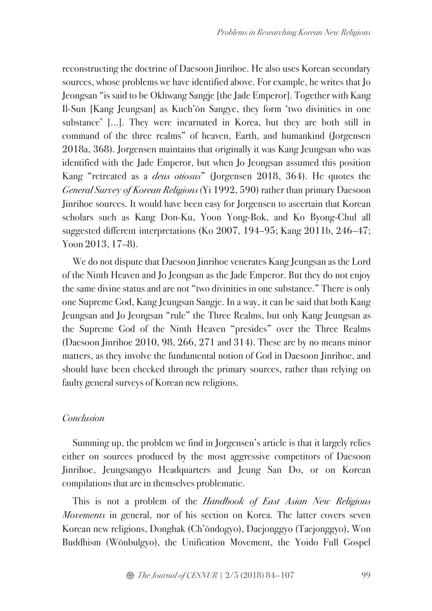reconstructing the doctrine of Daesoon Jinrihoe. He also uses Korean secondary sources, whose problems we have identified above. For example, he writes that Jo Jeongsan "is said to be Okhwang Sangje [the Jade Emperor]. Together with Kang Il-Sun [Kang Jeungsan] as Kuch'ŏn Sangye, they form 'two divinities in one substance' […]. They were incarnated in Korea, but they are both still in command of the three realms" of heaven, Earth, and humankind (Jorgensen 2018a, 368). Jorgensen maintains that originally it was Kang Jeungsan who was identified with the Jade Emperor, but when Jo Jeongsan assumed this position Kang "retreated as a *deus otiosus*" (Jorgensen 2018, 364). He quotes the *General Survey of Korean Religions* (Yi 1992, 590) rather than primary Daesoon Jinrihoe sources. It would have been easy for Jorgensen to ascertain that Korean scholars such as Kang Don-Ku, Yoon Yong-Bok, and Ko Byong-Chul all suggested different interpretations (Ko 2007, 194–95; Kang 2011b, 246–47; Yoon 2013, 17–8).

We do not dispute that Daesoon Jinrihoe venerates Kang Jeungsan as the Lord of the Ninth Heaven and Jo Jeongsan as the Jade Emperor. But they do not enjoy the same divine status and are not "two divinities in one substance." There is only one Supreme God, Kang Jeungsan Sangje. In a way, it can be said that both Kang Jeungsan and Jo Jeongsan "rule" the Three Realms, but only Kang Jeungsan as the Supreme God of the Ninth Heaven "presides" over the Three Realms (Daesoon Jinrihoe 2010, 98, 266, 271 and 314). These are by no means minor matters, as they involve the fundamental notion of God in Daesoon Jinrihoe, and should have been checked through the primary sources, rather than relying on faulty general surveys of Korean new religions.

# *Conclusion*

Summing up, the problem we find in Jorgensen's article is that it largely relies either on sources produced by the most aggressive competitors of Daesoon Jinrihoe, Jeungsangyo Headquarters and Jeung San Do, or on Korean compilations that are in themselves problematic.

This is not a problem of the *Handbook of East Asian New Religious Movements* in general, nor of his section on Korea. The latter covers seven Korean new religions, Donghak (Ch'ŏndogyo), Daejonggyo (Taejonggyo), Won Buddhism (Wŏnbulgyo), the Unification Movement, the Yoido Full Gospel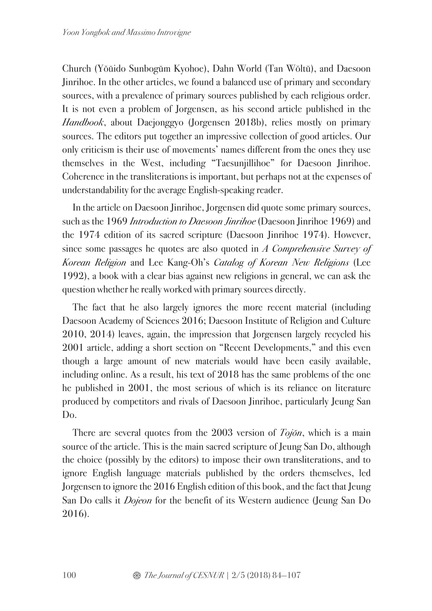Church (Yŏŭido Sunbogŭm Kyohoe), Dahn World (Tan Wŏltŭ), and Daesoon Jinrihoe. In the other articles, we found a balanced use of primary and secondary sources, with a prevalence of primary sources published by each religious order. It is not even a problem of Jorgensen, as his second article published in the *Handbook*, about Daejonggyo (Jorgensen 2018b), relies mostly on primary sources. The editors put together an impressive collection of good articles. Our only criticism is their use of movements' names different from the ones they use themselves in the West, including "Taesunjillihoe" for Daesoon Jinrihoe. Coherence in the transliterations is important, but perhaps not at the expenses of understandability for the average English-speaking reader.

In the article on Daesoon Jinrihoe, Jorgensen did quote some primary sources, such as the 1969 *Introduction to Daesoon Jinrihoe* (Daesoon Jinrihoe 1969) and the 1974 edition of its sacred scripture (Daesoon Jinrihoe 1974). However, since some passages he quotes are also quoted in *A Comprehensive Survey of Korean Religion* and Lee Kang-Oh's *Catalog of Korean New Religions* (Lee 1992), a book with a clear bias against new religions in general, we can ask the question whether he really worked with primary sources directly.

The fact that he also largely ignores the more recent material (including Daesoon Academy of Sciences 2016; Daesoon Institute of Religion and Culture 2010, 2014) leaves, again, the impression that Jorgensen largely recycled his 2001 article, adding a short section on "Recent Developments," and this even though a large amount of new materials would have been easily available, including online. As a result, his text of 2018 has the same problems of the one he published in 2001, the most serious of which is its reliance on literature produced by competitors and rivals of Daesoon Jinrihoe, particularly Jeung San D<sub>0</sub>.

There are several quotes from the 2003 version of *Toj*ŏ*n*, which is a main source of the article. This is the main sacred scripture of Jeung San Do, although the choice (possibly by the editors) to impose their own transliterations, and to ignore English language materials published by the orders themselves, led Jorgensen to ignore the 2016 English edition of this book, and the fact that Jeung San Do calls it *Dojeon* for the benefit of its Western audience (Jeung San Do 2016).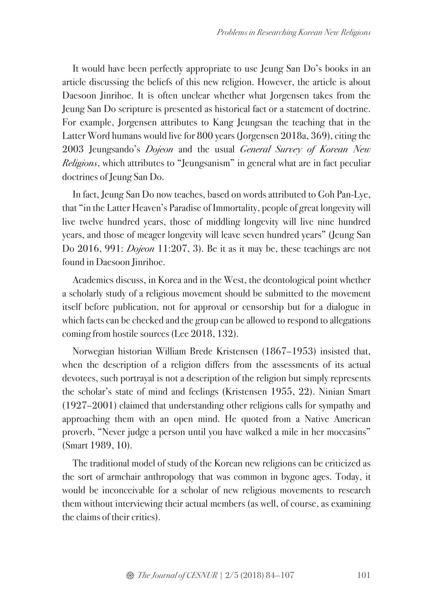It would have been perfectly appropriate to use Jeung San Do's books in an article discussing the beliefs of this new religion. However, the article is about Daesoon Jinrihoe. It is often unclear whether what Jorgensen takes from the Jeung San Do scripture is presented as historical fact or a statement of doctrine. For example, Jorgensen attributes to Kang Jeungsan the teaching that in the Latter Word humans would live for 800 years (Jorgensen 2018a, 369), citing the 2003 Jeungsando's *Dojeon* and the usual *General Survey of Korean New Religions*, which attributes to "Jeungsanism" in general what are in fact peculiar doctrines of Jeung San Do.

In fact, Jeung San Do now teaches, based on words attributed to Goh Pan-Lye, that "in the Latter Heaven's Paradise of Immortality, people of great longevity will live twelve hundred years, those of middling longevity will live nine hundred years, and those of meager longevity will leave seven hundred years" (Jeung San Do 2016, 991: *Dojeon* 11:207, 3). Be it as it may be, these teachings are not found in Daesoon Jinrihoe.

Academics discuss, in Korea and in the West, the deontological point whether a scholarly study of a religious movement should be submitted to the movement itself before publication, not for approval or censorship but for a dialogue in which facts can be checked and the group can be allowed to respond to allegations coming from hostile sources (Lee 2018, 132).

Norwegian historian William Brede Kristensen (1867–1953) insisted that, when the description of a religion differs from the assessments of its actual devotees, such portrayal is not a description of the religion but simply represents the scholar's state of mind and feelings (Kristensen 1955, 22). Ninian Smart (1927–2001) claimed that understanding other religions calls for sympathy and approaching them with an open mind. He quoted from a Native American proverb, "Never judge a person until you have walked a mile in her moccasins" (Smart 1989, 10).

The traditional model of study of the Korean new religions can be criticized as the sort of armchair anthropology that was common in bygone ages. Today, it would be inconceivable for a scholar of new religious movements to research them without interviewing their actual members (as well, of course, as examining the claims of their critics).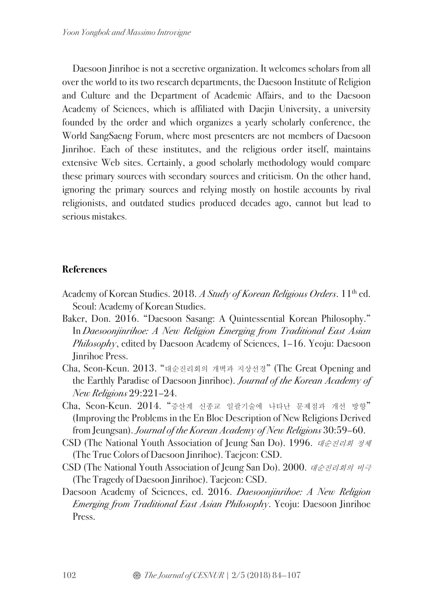Daesoon Jinrihoe is not a secretive organization. It welcomes scholars from all over the world to its two research departments, the Daesoon Institute of Religion and Culture and the Department of Academic Affairs, and to the Daesoon Academy of Sciences, which is affiliated with Daejin University, a university founded by the order and which organizes a yearly scholarly conference, the World SangSaeng Forum, where most presenters are not members of Daesoon Jinrihoe. Each of these institutes, and the religious order itself, maintains extensive Web sites. Certainly, a good scholarly methodology would compare these primary sources with secondary sources and criticism. On the other hand, ignoring the primary sources and relying mostly on hostile accounts by rival religionists, and outdated studies produced decades ago, cannot but lead to serious mistakes.

# **References**

- Academy of Korean Studies. 2018. *A Study of Korean Religious Orders*. 11<sup>th</sup> ed. Seoul: Academy of Korean Studies.
- Baker, Don. 2016. "Daesoon Sasang: A Quintessential Korean Philosophy." In *Daesoonjinrihoe: A New Religion Emerging from Traditional East Asian Philosophy*, edited by Daesoon Academy of Sciences, 1–16. Yeoju: Daesoon Jinrihoe Press.
- Cha, Seon-Keun. 2013. "대순진리회의 개벽과 지상선경" (The Great Opening and the Earthly Paradise of Daesoon Jinrihoe). *Journal of the Korean Academy of New Religions* 29:221–24.
- Cha, Seon-Keun. 2014. "증산계 신종교 일괄기술에 나타난 문제점과 개선 방향" (Improving the Problems in the En Bloc Description of New Religions Derived from Jeungsan). *Journal of the Korean Academy of New Religions* 30:59–60.
- CSD (The National Youth Association of Jeung San Do). 1996. 대순진리회 정체 (The True Colors of Daesoon Jinrihoe). Taejeon: CSD.
- CSD (The National Youth Association of Jeung San Do). 2000. 대순진리회의 비극 (The Tragedy of Daesoon Jinrihoe). Taejeon: CSD.
- Daesoon Academy of Sciences, ed. 2016. *Daesoonjinrihoe: A New Religion Emerging from Traditional East Asian Philosophy*. Yeoju: Daesoon Jinrihoe Press.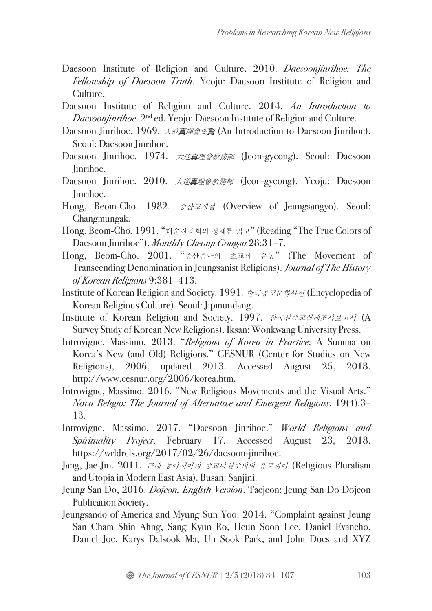- Daesoon Institute of Religion and Culture. 2010. *Daesoonjinrihoe: The Fellowship of Daesoon Truth*. Yeoju: Daesoon Institute of Religion and Culture.
- Daesoon Institute of Religion and Culture. 2014. *An Introduction to Daesoonjinrihoe*. 2<sup>nd</sup> ed. Yeoju: Daesoon Institute of Religion and Culture.
- Daesoon Jinrihoe. 1969. 大巡真理會要賢 (An Introduction to Daesoon Jinrihoe). Seoul: Daesoon Jinrihoe.
- Daesoon Jinrihoe. 1974. *大巡真理會敎務部* (Jeon-gyeong). Seoul: Daesoon Jinrihoe.
- Daesoon Jinrihoe. 2010. 大巡真理會敎務部 (Jeon-gyeong). Yeoju: Daesoon Jinrihoe.
- Hong, Beom-Cho. 1982. 증산교개설 (Overview of Jeungsangyo). Seoul: Changmungak.
- Hong, Beom-Cho. 1991. "대순진리회의 정체를 읽고" (Reading "The True Colors of Daesoon Jinrihoe"). *Monthly Cheonji Gongsa* 28:31–7.
- Hong, Beom-Cho. 2001. "증산종단의 초교파 운동" (The Movement of Transcending Denomination in Jeungsanist Religions). *Journal of The History of Korean Religions* 9:381–413.
- Institute of Korean Religion and Society. 1991. 한국종교문화사전 (Encyclopedia of Korean Religious Culture). Seoul: Jipmundang.
- Institute of Korean Religion and Society. 1997. 한국신종교실태조사보고서 (A Survey Study of Korean New Religions). Iksan: Wonkwang University Press.
- Introvigne, Massimo. 2013. "*Religions of Korea in Practice*: A Summa on Korea's New (and Old) Religions." CESNUR (Center for Studies on New Religions), 2006, updated 2013. Accessed August 25, 2018. http://www.cesnur.org/2006/korea.htm.
- Introvigne, Massimo. 2016. "New Religious Movements and the Visual Arts." *Nova Religio: The Journal of Alternative and Emergent Religions*, 19(4):3– 13.
- Introvigne, Massimo. 2017. "Daesoon Jinrihoe." *World Religions and Spirituality Project*, February 17. Accessed August 23, 2018. https://wrldrels.org/2017/02/26/daesoon-jinrihoe.
- Jang, Jae-Jin. 2011. 근대 동아시아의 종교다원주의와 유토피아 (Religious Pluralism and Utopia in Modern East Asia). Busan: Sanjini.
- Jeung San Do, 2016. *Dojeon, English Version*. Taejeon: Jeung San Do Dojeon Publication Society.
- Jeungsando of America and Myung Sun Yoo. 2014. "Complaint against Jeung San Cham Shin Ahng, Sang Kyun Ro, Heun Soon Lee, Daniel Evancho, Daniel Joe, Karys Dalsook Ma, Un Sook Park, and John Does and XYZ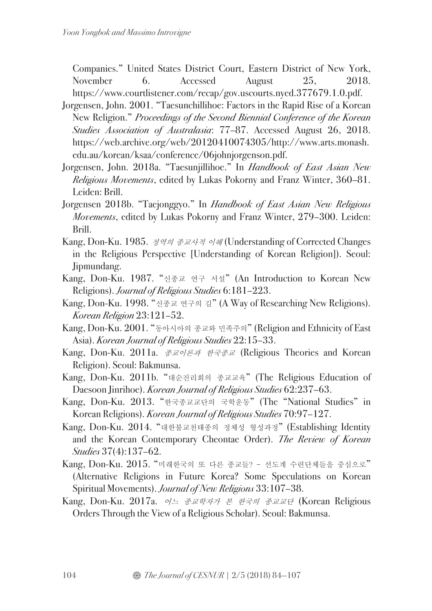Companies." United States District Court, Eastern District of New York, November 6. Accessed August 25, 2018. https://www.courtlistener.com/recap/gov.uscourts.nyed.377679.1.0.pdf.

- Jorgensen, John. 2001. "Taesunchillihoe: Factors in the Rapid Rise of a Korean New Religion." *Proceedings of the Second Biennial Conference of the Korean Studies Association of Australasia*: 77–87. Accessed August 26, 2018. https://web.archive.org/web/20120410074305/http://www.arts.monash. edu.au/korean/ksaa/conference/06johnjorgenson.pdf.
- Jorgensen, John. 2018a. "Taesunjillihoe." In *Handbook of East Asian New Religious Movements*, edited by Lukas Pokorny and Franz Winter, 360–81. Leiden: Brill.
- Jorgensen 2018b. "Taejonggyo." In *Handbook of East Asian New Religious Movements*, edited by Lukas Pokorny and Franz Winter, 279–300. Leiden: Brill.
- Kang, Don-Ku. 1985. 정역의 종교사적 이해 (Understanding of Corrected Changes in the Religious Perspective [Understanding of Korean Religion]). Seoul: Jipmundang.
- Kang, Don-Ku. 1987. "신종교 연구 서설" (An Introduction to Korean New Religions). *Journal of Religious Studies* 6:181–223.
- Kang, Don-Ku. 1998. "신종교 연구의 길" (A Way of Researching New Religions). *Korean Religion* 23:121–52.
- Kang, Don-Ku. 2001. "동아시아의 종교와 민족주의" (Religion and Ethnicity of East Asia). *Korean Journal of Religious Studies* 22:15–33.
- Kang, Don-Ku. 2011a. 종교이론과 한국종교 (Religious Theories and Korean Religion). Seoul: Bakmunsa.
- Kang, Don-Ku. 2011b. "대순진리회의 종교교육" (The Religious Education of Daesoon Jinrihoe). *Korean Journal of Religious Studies* 62:237–63.
- Kang, Don-Ku. 2013. "한국종교교단의 국학운동" (The "National Studies" in Korean Religions). *Korean Journal of Religious Studies* 70:97–127.
- Kang, Don-Ku. 2014. "대한불교천태종의 정체성 형성과정" (Establishing Identity and the Korean Contemporary Cheontae Order). *The Review of Korean Studies* 37(4):137–62.
- Kang, Don-Ku. 2015. "미래한국의 또 다른 종교들? 선도계 수련단체들을 중심으로" (Alternative Religions in Future Korea? Some Speculations on Korean Spiritual Movements). *Journal of New Religions* 33:107–38.
- Kang, Don-Ku. 2017a. 어느 종교학자가 본 한국의 종교교단 (Korean Religious Orders Through the View of a Religious Scholar). Seoul: Bakmunsa.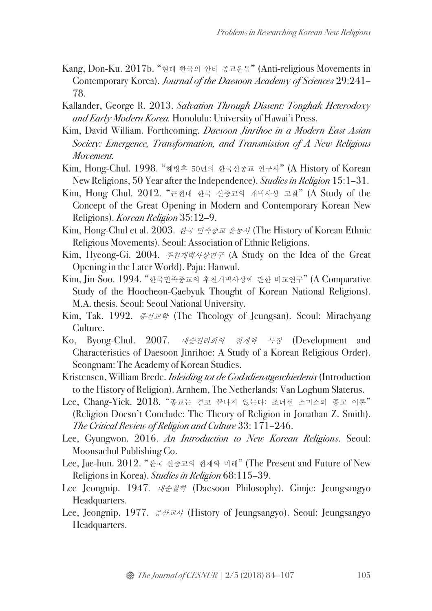- Kang, Don-Ku. 2017b. "현대 한국의 안티 종교운동" (Anti-religious Movements in Contemporary Korea). *Journal of the Daesoon Academy of Sciences* 29:241– 78.
- Kallander, George R. 2013. *Salvation Through Dissent: Tonghak Heterodoxy and Early Modern Korea.* Honolulu: University of Hawai'i Press.
- Kim, David William. Forthcoming. *Daesoon Jinrihoe in a Modern East Asian Society: Emergence, Transformation, and Transmission of A New Religious Movement.*
- Kim, Hong-Chul. 1998. "해방후 50년의 한국신종교 연구사" (A History of Korean New Religions, 50 Year after the Independence). *Studies in Religion* 15:1–31.
- Kim, Hong Chul. 2012. "근현대 한국 신종교의 개벽사상 고찰" (A Study of the Concept of the Great Opening in Modern and Contemporary Korean New Religions). *Korean Religion* 35:12–9.
- Kim, Hong-Chul et al. 2003. 한국 민족종교 운동사 (The History of Korean Ethnic Religious Movements). Seoul: Association of Ethnic Religions.
- Kim, Hyeong-Gi. 2004. 후천개벽사상연구 (A Study on the Idea of the Great Opening in the Later World). Paju: Hanwul.
- Kim, Jin-Soo. 1994. "한국민족종교의 후천개벽사상에 관한 비교연구" (A Comparative Study of the Hoocheon-Gaebyuk Thought of Korean National Religions). M.A. thesis. Seoul: Seoul National University.
- Kim, Tak. 1992. 증산교학 (The Theology of Jeungsan). Seoul: Miraehyang Culture.
- Ko, Byong-Chul. 2007. 대순진리회의 전개와 특징 (Development and Characteristics of Daesoon Jinrihoe: A Study of a Korean Religious Order). Seongnam: The Academy of Korean Studies.
- Kristensen, William Brede. *Inleiding tot de Godsdienstgeschiedenis* (Introduction to the History of Religion). Arnhem, The Netherlands: Van Loghum Slaterus.
- Lee, Chang-Yick. 2018. "종교는 결코 끝나지 않는다: 조너선 스미스의 종교 이론" (Religion Doesn't Conclude: The Theory of Religion in Jonathan Z. Smith). *The Critical Review of Religion and Culture* 33: 171–246.
- Lee, Gyungwon. 2016. *An Introduction to New Korean Religions*. Seoul: Moonsachul Publishing Co.
- Lee, Jae-hun. 2012. "한국 신종교의 현재와 미래" (The Present and Future of New Religions in Korea). *Studies in Religion* 68:115–39.
- Lee Jeongnip. 1947. 대순철학 (Daesoon Philosophy). Gimje: Jeungsangyo Headquarters.
- Lee, Jeongnip. 1977. 증산교사 (History of Jeungsangyo). Seoul: Jeungsangyo Headquarters.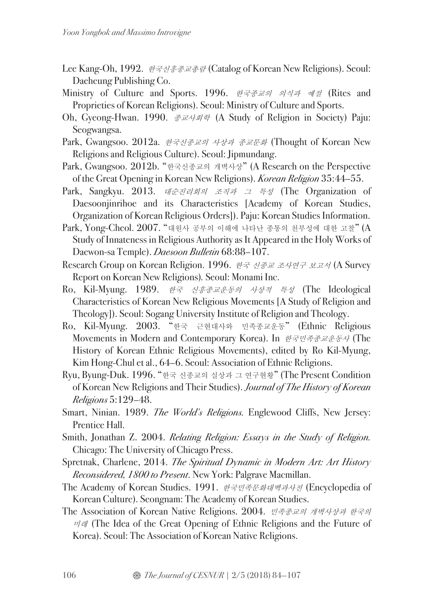- Lee Kang-Oh, 1992. 한국신흥종교총람 (Catalog of Korean New Religions). Seoul: Daeheung Publishing Co.
- Ministry of Culture and Sports. 1996. 한국종교의 의식과 예절 (Rites and Proprieties of Korean Religions). Seoul: Ministry of Culture and Sports.
- Oh, Gyeong-Hwan. 1990. 종교사회학 (A Study of Religion in Society) Paju: Seogwangsa.
- Park, Gwangsoo. 2012a. 한국신종교의 사상과 종교문화 (Thought of Korean New Religions and Religious Culture). Seoul: Jipmundang.
- Park, Gwangsoo. 2012b. "한국신종교의 개벽사상" (A Research on the Perspective of the Great Opening in Korean New Religions). *Korean Religion* 35:44–55.
- Park, Sangkyu. 2013. 대순진리회의 조직과 그 특성 (The Organization of Daesoonjinrihoe and its Characteristics [Academy of Korean Studies, Organization of Korean Religious Orders]). Paju: Korean Studies Information.
- Park, Yong-Cheol. 2007. "대원사 공부의 이해에 나타난 종통의 천부성에 대한 고찰" (A Study of Innateness in Religious Authority as It Appeared in the Holy Works of Daewon-sa Temple). *Daesoon Bulletin* 68:88–107.
- Research Group on Korean Religion. 1996. 한국 신종교 조사연구 보고서 (A Survey Report on Korean New Religions)*.* Seoul: Monami Inc.
- Ro, Kil-Myung. 1989. 한국 신흥종교운동의 사상적 특성 (The Ideological Characteristics of Korean New Religious Movements [A Study of Religion and Theology]). Seoul: Sogang University Institute of Religion and Theology.
- Ro, Kil-Myung. 2003. "한국 근현대사와 민족종교운동" (Ethnic Religious Movements in Modern and Contemporary Korea). In 한국민족종교운동사 (The History of Korean Ethnic Religious Movements), edited by Ro Kil-Myung, Kim Hong-Chul et al., 64–6. Seoul: Association of Ethnic Religions.
- Ryu, Byung-Duk. 1996. "한국 신종교의 실상과 그 연구현황" (The Present Condition of Korean New Religions and Their Studies). *Journal of The History of Korean Religions* 5:129–48.
- Smart, Ninian. 1989. *The World's Religions.* Englewood Cliffs, New Jersey: Prentice Hall.
- Smith, Jonathan Z. 2004. *Relating Religion: Essays in the Study of Religion.* Chicago: The University of Chicago Press.
- Spretnak, Charlene, 2014. *The Spiritual Dynamic in Modern Art: Art History Reconsidered, 1800 to Present*. New York: Palgrave Macmillan.
- The Academy of Korean Studies. 1991. 한국민족문화대백과사전 (Encyclopedia of Korean Culture). Seongnam: The Academy of Korean Studies.
- The Association of Korean Native Religions. 2004. 민족종교의 개벽사상과 한국의  $\nabla \mathcal{H}$  (The Idea of the Great Opening of Ethnic Religions and the Future of Korea). Seoul: The Association of Korean Native Religions.